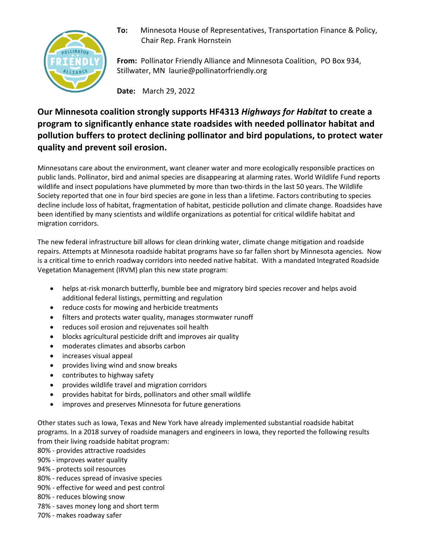

**To:** Minnesota House of Representatives, Transportation Finance & Policy, Chair Rep. Frank Hornstein

**From:** Pollinator Friendly Alliance and Minnesota Coalition, PO Box 934, Stillwater, MN laurie@pollinatorfriendly.org

**Date:** March 29, 2022

# **Our Minnesota coalition strongly supports HF4313** *Highways for Habitat* **to create a program to significantly enhance state roadsides with needed pollinator habitat and pollution buffers to protect declining pollinator and bird populations, to protect water quality and prevent soil erosion.**

Minnesotans care about the environment, want cleaner water and more ecologically responsible practices on public lands. Pollinator, bird and animal species are disappearing at alarming rates. World Wildlife Fund reports wildlife and insect populations have plummeted by more than two-thirds in the last 50 years. The Wildlife Society reported that one in four bird species are gone in less than a lifetime. Factors contributing to species decline include loss of habitat, fragmentation of habitat, pesticide pollution and climate change. Roadsides have been identified by many scientists and wildlife organizations as potential for critical wildlife habitat and migration corridors.

The new federal infrastructure bill allows for clean drinking water, climate change mitigation and roadside repairs. Attempts at Minnesota roadside habitat programs have so far fallen short by Minnesota agencies. Now is a critical time to enrich roadway corridors into needed native habitat. With a mandated Integrated Roadside Vegetation Management (IRVM) plan this new state program:

- helps at-risk monarch butterfly, bumble bee and migratory bird species recover and helps avoid additional federal listings, permitting and regulation
- reduce costs for mowing and herbicide treatments
- filters and protects water quality, manages stormwater runoff
- reduces soil erosion and rejuvenates soil health
- blocks agricultural pesticide drift and improves air quality
- moderates climates and absorbs carbon
- increases visual appeal
- provides living wind and snow breaks
- contributes to highway safety
- provides wildlife travel and migration corridors
- provides habitat for birds, pollinators and other small wildlife
- improves and preserves Minnesota for future generations

Other states such as Iowa, Texas and New York have already implemented substantial roadside habitat programs. In a 2018 survey of roadside managers and engineers in Iowa, they reported the following results from their living roadside habitat program:

- 80% provides attractive roadsides
- 90% improves water quality
- 94% protects soil resources
- 80% reduces spread of invasive species
- 90% effective for weed and pest control
- 80% reduces blowing snow
- 78% saves money long and short term
- 70% makes roadway safer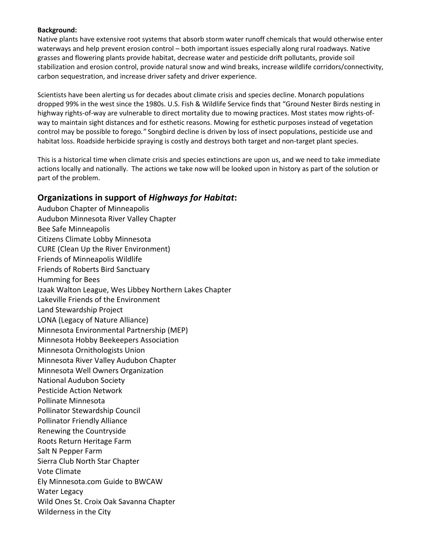# **Background:**

Native plants have extensive root systems that absorb storm water runoff chemicals that would otherwise enter waterways and help prevent erosion control – both important issues especially along rural roadways. Native grasses and flowering plants provide habitat, decrease water and pesticide drift pollutants, provide soil stabilization and erosion control, provide natural snow and wind breaks, increase wildlife corridors/connectivity, carbon sequestration, and increase driver safety and driver experience.

Scientists have been alerting us for decades about climate crisis and species decline. Monarch populations dropped 99% in the west since the 1980s. U.S. Fish & Wildlife Service finds that "Ground Nester Birds nesting in highway rights-of-way are vulnerable to direct mortality due to mowing practices. Most states mow rights-ofway to maintain sight distances and for esthetic reasons. Mowing for esthetic purposes instead of vegetation control may be possible to forego*."* Songbird decline is driven by loss of insect populations, pesticide use and habitat loss. Roadside herbicide spraying is costly and destroys both target and non-target plant species.

This is a historical time when climate crisis and species extinctions are upon us, and we need to take immediate actions locally and nationally. The actions we take now will be looked upon in history as part of the solution or part of the problem.

# **Organizations in support of** *Highways for Habitat***:**

Audubon Chapter of Minneapolis Audubon Minnesota River Valley Chapter Bee Safe Minneapolis Citizens Climate Lobby Minnesota CURE (Clean Up the River Environment) Friends of Minneapolis Wildlife Friends of Roberts Bird Sanctuary Humming for Bees Izaak Walton League, Wes Libbey Northern Lakes Chapter Lakeville Friends of the Environment Land Stewardship Project LONA (Legacy of Nature Alliance) Minnesota Environmental Partnership (MEP) Minnesota Hobby Beekeepers Association Minnesota Ornithologists Union Minnesota River Valley Audubon Chapter Minnesota Well Owners Organization National Audubon Society Pesticide Action Network Pollinate Minnesota Pollinator Stewardship Council Pollinator Friendly Alliance Renewing the Countryside Roots Return Heritage Farm Salt N Pepper Farm Sierra Club North Star Chapter Vote Climate Ely Minnesota.com Guide to BWCAW Water Legacy Wild Ones St. Croix Oak Savanna Chapter Wilderness in the City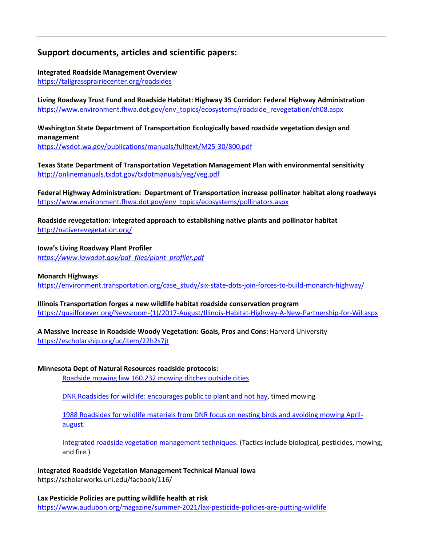# **Support documents, articles and scientific papers:**

**Integrated Roadside Management Overview** https://tallgrassprairiecenter.org/roadsides

**Living Roadway Trust Fund and Roadside Habitat: Highway 35 Corridor: Federal Highway Administration**  https://www.environment.fhwa.dot.gov/env\_topics/ecosystems/roadside\_revegetation/ch08.aspx

**Washington State Department of Transportation Ecologically based roadside vegetation design and management** https://wsdot.wa.gov/publications/manuals/fulltext/M25-30/800.pdf

**Texas State Department of Transportation Vegetation Management Plan with environmental sensitivity** http://onlinemanuals.txdot.gov/txdotmanuals/veg/veg.pdf

**Federal Highway Administration: Department of Transportation increase pollinator habitat along roadways** https://www.environment.fhwa.dot.gov/env\_topics/ecosystems/pollinators.aspx

**Roadside revegetation: integrated approach to establishing native plants and pollinator habitat**  http://nativerevegetation.org/

**Iowa's Living Roadway Plant Profiler** *https://www.iowadot.gov/pdf\_files/plant\_profiler.pdf*

# **Monarch Highways**

https://environment.transportation.org/case\_study/six-state-dots-join-forces-to-build-monarch-highway/

**Illinois Transportation forges a new wildlife habitat roadside conservation program** https://quailforever.org/Newsroom-(1)/2017-August/Illinois-Habitat-Highway-A-New-Partnership-for-Wil.aspx

**A Massive Increase in Roadside Woody Vegetation: Goals, Pros and Cons:** Harvard University

https://escholarship.org/uc/item/22h2s7jt

# **Minnesota Dept of Natural Resources roadside protocols:**

Roadside mowing law 160.232 mowing ditches outside cities

DNR Roadsides for wildlife: encourages public to plant and not hay, timed mowing

1988 Roadsides for wildlife materials from DNR focus on nesting birds and avoiding mowing Aprilaugust.

Integrated roadside vegetation management techniques. (Tactics include biological, pesticides, mowing, and fire.)

**Integrated Roadside Vegetation Management Technical Manual Iowa** https://scholarworks.uni.edu/facbook/116/

**Lax Pesticide Policies are putting wildlife health at risk** https://www.audubon.org/magazine/summer-2021/lax-pesticide-policies-are-putting-wildlife